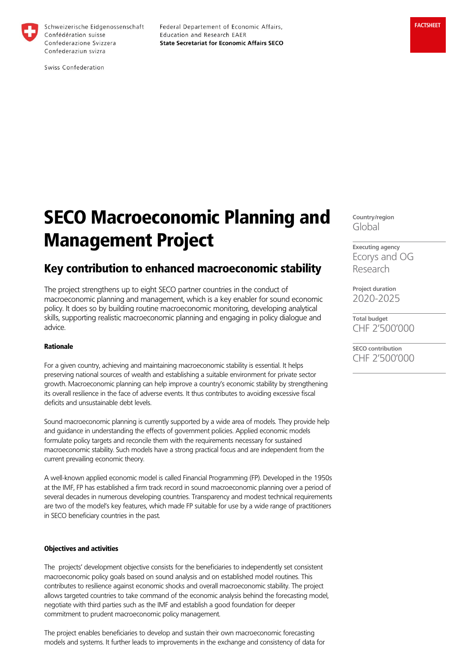

Schweizerische Eidgenossenschaft Confédération suisse Confederazione Svizzera Confederaziun svizra

Federal Departement of Economic Affairs, Education and Research EAER **State Secretariat for Economic Affairs SECO**  **FACTSHEET**

Swiss Confederation

# SECO Macroeconomic Planning and Management Project

## Key contribution to enhanced macroeconomic stability

The project strengthens up to eight SECO partner countries in the conduct of macroeconomic planning and management, which is a key enabler for sound economic policy. It does so by building routine macroeconomic monitoring, developing analytical skills, supporting realistic macroeconomic planning and engaging in policy dialogue and advice.

#### Rationale

For a given country, achieving and maintaining macroeconomic stability is essential. It helps preserving national sources of wealth and establishing a suitable environment for private sector growth. Macroeconomic planning can help improve a country's economic stability by strengthening its overall resilience in the face of adverse events. It thus contributes to avoiding excessive fiscal deficits and unsustainable debt levels.

Sound macroeconomic planning is currently supported by a wide area of models. They provide help and guidance in understanding the effects of government policies. Applied economic models formulate policy targets and reconcile them with the requirements necessary for sustained macroeconomic stability. Such models have a strong practical focus and are independent from the current prevailing economic theory.

A well-known applied economic model is called Financial Programming (FP). Developed in the 1950s at the IMF, FP has established a firm track record in sound macroeconomic planning over a period of several decades in numerous developing countries. Transparency and modest technical requirements are two of the model's key features, which made FP suitable for use by a wide range of practitioners in SECO beneficiary countries in the past.

#### Objectives and activities

The projects' development objective consists for the beneficiaries to independently set consistent macroeconomic policy goals based on sound analysis and on established model routines. This contributes to resilience against economic shocks and overall macroeconomic stability. The project allows targeted countries to take command of the economic analysis behind the forecasting model, negotiate with third parties such as the IMF and establish a good foundation for deeper commitment to prudent macroeconomic policy management.

The project enables beneficiaries to develop and sustain their own macroeconomic forecasting models and systems. It further leads to improvements in the exchange and consistency of data for **Country/region** Global

**Executing agency** Ecorys and OG Research

**Project duration** 2020-2025

**Total budget** CHF 2'500'000

**SECO contribution** CHF 2'500'000